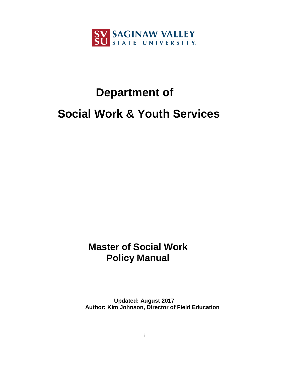

# **Department of Social Work & Youth Services**

# **Master of Social Work Policy Manual**

**Updated: August 2017 Author: Kim Johnson, Director of Field Education**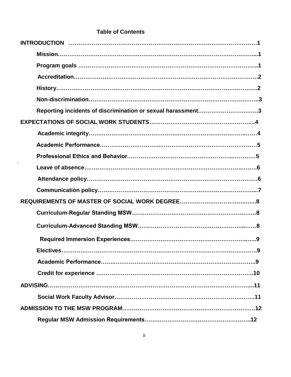# **Table of Contents**

| Reporting incidents of discrimination or sexual harassment3 |  |
|-------------------------------------------------------------|--|
|                                                             |  |
|                                                             |  |
|                                                             |  |
|                                                             |  |
|                                                             |  |
|                                                             |  |
|                                                             |  |
|                                                             |  |
|                                                             |  |
|                                                             |  |
|                                                             |  |
|                                                             |  |
|                                                             |  |
|                                                             |  |
|                                                             |  |
|                                                             |  |
|                                                             |  |
|                                                             |  |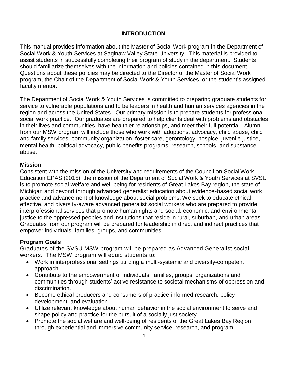# **INTRODUCTION**

This manual provides information about the Master of Social Work program in the Department of Social Work & Youth Services at Saginaw Valley State University. This material is provided to assist students in successfully completing their program of study in the department. Students should familiarize themselves with the information and policies contained in this document. Questions about these policies may be directed to the Director of the Master of Social Work program, the Chair of the Department of Social Work & Youth Services, or the student's assigned faculty mentor.

The Department of Social Work & Youth Services is committed to preparing graduate students for service to vulnerable populations and to be leaders in health and human services agencies in the region and across the United States. Our primary mission is to prepare students for professional social work practice. Our graduates are prepared to help clients deal with problems and obstacles in their lives and communities, have healthier relationships, and meet their full potential. Alumni from our MSW program will include those who work with adoptions, advocacy, child abuse, child and family services, community organization, foster care, gerontology, hospice, juvenile justice, mental health, political advocacy, public benefits programs, research, schools, and substance abuse.

# **Mission**

Consistent with the mission of the University and requirements of the Council on Social Work Education EPAS (2015), the mission of the Department of Social Work & Youth Services at SVSU is to promote social welfare and well-being for residents of Great Lakes Bay region, the state of Michigan and beyond through advanced generalist education about evidence-based social work practice and advancement of knowledge about social problems. We seek to educate ethical, effective, and diversity-aware advanced generalist social workers who are prepared to provide interprofessional services that promote human rights and social, economic, and environmental justice to the oppressed peoples and institutions that reside in rural, suburban, and urban areas. Graduates from our program will be prepared for leadership in direct and indirect practices that empower individuals, families, groups, and communities.

# **Program Goals**

Graduates of the SVSU MSW program will be prepared as Advanced Generalist social workers. The MSW program will equip students to:

- Work in interprofessional settings utilizing a multi-systemic and diversity-competent approach.
- Contribute to the empowerment of individuals, families, groups, organizations and communities through students' active resistance to societal mechanisms of oppression and discrimination.
- Become ethical producers and consumers of practice-informed research, policy development, and evaluation.
- Utilize relevant knowledge about human behavior in the social environment to serve and shape policy and practice for the pursuit of a socially just society.
- Promote the social welfare and well-being of residents of the Great Lakes Bay Region through experiential and immersive community service, research, and program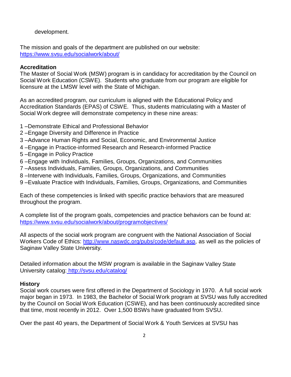development.

The mission and goals of the department are published on our website: <https://www.svsu.edu/socialwork/about/>

#### **Accreditation**

The Master of Social Work (MSW) program is in candidacy for accreditation by the Council on Social Work Education (CSWE). Students who graduate from our program are eligible for licensure at the LMSW level with the State of Michigan.

As an accredited program, our curriculum is aligned with the Educational Policy and Accreditation Standards (EPAS) of CSWE. Thus, students matriculating with a Master of Social Work degree will demonstrate competency in these nine areas:

- 1 –Demonstrate Ethical and Professional Behavior
- 2 –Engage Diversity and Difference in Practice
- 3 –Advance Human Rights and Social, Economic, and Environmental Justice
- 4 –Engage in Practice-informed Research and Research-informed Practice
- 5 –Engage in Policy Practice
- 6 –Engage with Individuals, Families, Groups, Organizations, and Communities
- 7 –Assess Individuals, Families, Groups, Organizations, and Communities
- 8 –Intervene with Individuals, Families, Groups, Organizations, and Communities
- 9 –Evaluate Practice with Individuals, Families, Groups, Organizations, and Communities

Each of these competencies is linked with specific practice behaviors that are measured throughout the program.

A complete list of the program goals, competencies and practice behaviors can be found at: <https://www.svsu.edu/socialwork/about/programobjectives/>

All aspects of the social work program are congruent with the National Association of Social Workers Code of Ethics: [http://www.naswdc.org/pubs/code/default.asp,](http://www.naswdc.org/pubs/code/default.asp) as well as the policies of Saginaw Valley State University.

Detailed information about the MSW program is available in the Saginaw Valley State University catalog: [http://svsu.edu/catalog/](file:///C:/Users/ksjohns2/Documents/%20http:/svsu.edu/catalog/)

#### **History**

Social work courses were first offered in the Department of Sociology in 1970. A full social work major began in 1973. In 1983, the Bachelor of Social Work program at SVSU was fully accredited by the Council on Social Work Education (CSWE), and has been continuously accredited since that time, most recently in 2012. Over 1,500 BSWs have graduated from SVSU.

Over the past 40 years, the Department of Social Work & Youth Services at SVSU has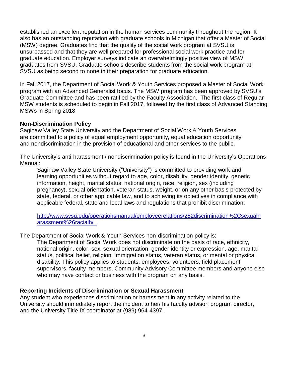established an excellent reputation in the human services community throughout the region. It also has an outstanding reputation with graduate schools in Michigan that offer a Master of Social (MSW) degree. Graduates find that the quality of the social work program at SVSU is unsurpassed and that they are well prepared for professional social work practice and for graduate education. Employer surveys indicate an overwhelmingly positive view of MSW graduates from SVSU. Graduate schools describe students from the social work program at SVSU as being second to none in their preparation for graduate education.

In Fall 2017, the Department of Social Work & Youth Services proposed a Master of Social Work program with an Advanced Generalist focus. The MSW program has been approved by SVSU's Graduate Committee and has been ratified by the Faculty Association. The first class of Regular MSW students is scheduled to begin in Fall 2017, followed by the first class of Advanced Standing MSWs in Spring 2018.

#### **Non-Discrimination Policy**

Saginaw Valley State University and the Department of Social Work & Youth Services are committed to a policy of equal employment opportunity, equal education opportunity and nondiscrimination in the provision of educational and other services to the public.

The University's anti-harassment / nondiscrimination policy is found in the University's Operations Manual:

Saginaw Valley State University ("University") is committed to providing work and learning opportunities without regard to age, color, disability, gender identity, genetic information, height, marital status, national origin, race, religion, sex (including pregnancy), sexual orientation, veteran status, weight, or on any other basis protected by state, federal, or other applicable law, and to achieving its objectives in compliance with applicable federal, state and local laws and regulations that prohibit discrimination:

[http://www.svsu.edu/operationsmanual/employeerelations/252discrimination%2Csexualh](http://www.svsu.edu/operationsmanual/employeerelations/252discrimination%2Csexualharassment%26racialh/) [arassment%26racialh/](http://www.svsu.edu/operationsmanual/employeerelations/252discrimination%2Csexualharassment%26racialh/) 

The Department of Social Work & Youth Services non-discrimination policy is:

The Department of Social Work does not discriminate on the basis of race, ethnicity, national origin, color, sex, sexual orientation, gender identity or expression, age, marital status, political belief, religion, immigration status, veteran status, or mental or physical disability. This policy applies to students, employees, volunteers, field placement supervisors, faculty members, Community Advisory Committee members and anyone else who may have contact or business with the program on any basis.

#### **Reporting Incidents of Discrimination or Sexual Harassment**

Any student who experiences discrimination or harassment in any activity related to the University should immediately report the incident to her/ his faculty advisor, program director, and the University Title IX coordinator at (989) 964-4397.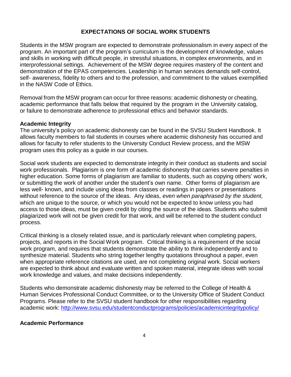#### **EXPECTATIONS OF SOCIAL WORK STUDENTS**

Students in the MSW program are expected to demonstrate professionalism in every aspect of the program. An important part of the program's curriculum is the development of knowledge, values and skills in working with difficult people, in stressful situations, in complex environments, and in interprofessional settings. Achievement of the MSW degree requires mastery of the content and demonstration of the EPAS competencies. Leadership in human services demands self-control, self- awareness, fidelity to others and to the profession, and commitment to the values exemplified in the NASW Code of Ethics.

Removal from the MSW program can occur for three reasons: academic dishonesty or cheating, academic performance that falls below that required by the program in the University catalog, or failure to demonstrate adherence to professional ethics and behavior standards.

#### **Academic Integrity**

The university's policy on academic dishonesty can be found in the SVSU Student Handbook. It allows faculty members to fail students in courses where academic dishonesty has occurred and allows for faculty to refer students to the University Conduct Review process, and the MSW program uses this policy as a guide in our courses.

Social work students are expected to demonstrate integrity in their conduct as students and social work professionals. Plagiarism is one form of academic dishonesty that carries severe penalties in higher education. Some forms of plagiarism are familiar to students, such as copying others' work, or submitting the work of another under the student's own name. Other forms of plagiarism are less well- known, and include using ideas from classes or readings in papers or presentations without reference to the source of the ideas. Any ideas, *even when paraphrased by the student,*  which are unique to the source, or which you would not be expected to know unless you had access to those ideas, must be given credit by citing the source of the ideas. Students who submit plagiarized work will not be given credit for that work, and will be referred to the student conduct process.

Critical thinking is a closely related issue, and is particularly relevant when completing papers, projects, and reports in the Social Work program. Critical thinking is a requirement of the social work program, and requires that students demonstrate the ability to think independently and to synthesize material. Students who string together lengthy quotations throughout a paper, even when appropriate reference citations are used, are not completing original work. Social workers are expected to think about and evaluate written and spoken material, integrate ideas with social work knowledge and values, and make decisions independently.

Students who demonstrate academic dishonesty may be referred to the College of Health & Human Services Professional Conduct Committee, or to the University Office of Student Conduct Programs. Please refer to the SVSU student handbook for other responsibilities regarding academic work:<http://www.svsu.edu/studentconductprograms/policies/academicintegritypolicy/>

# **Academic Performance**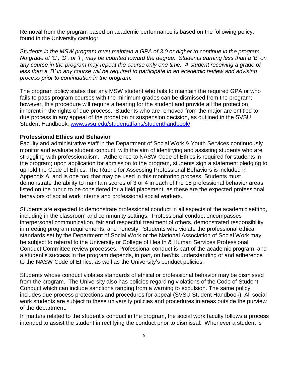Removal from the program based on academic performance is based on the following policy, found in the University catalog:

*Students in the MSW program must maintain a GPA of 3.0 or higher to continue in the program. No grade of 'C', 'D', or 'F, may be counted toward the degree. Students earning less than a 'B' on any course in the program may repeat the course only one time. A student receiving a grade of less than a 'B' in any course will be required to participate in an academic review and advising process prior to continuation in the program.*

The program policy states that any MSW student who fails to maintain the required GPA or who fails to pass program courses with the minimum grades can be dismissed from the program; however, this procedure will require a hearing for the student and provide all the protection inherent in the rights of due process. Students who are removed from the major are entitled to due process in any appeal of the probation or suspension decision, as outlined in the SVSU Student Handbook: [www.svsu.edu/studentaffairs/studenthandbook/](http://www.svsu.edu/studentaffairs/studenthandbook/)

#### **Professional Ethics and Behavior**

Faculty and administrative staff in the Department of Social Work & Youth Services continuously monitor and evaluate student conduct, with the aim of identifying and assisting students who are struggling with professionalism. Adherence to NASW Code of Ethics is required for students in the program; upon application for admission to the program, students sign a statement pledging to uphold the Code of Ethics. The Rubric for Assessing Professional Behaviors is included in Appendix A, and is one tool that may be used in this monitoring process. Students must demonstrate the ability to maintain scores of 3 or 4 in each of the 15 professional behavior areas listed on the rubric to be considered for a field placement, as these are the expected professional behaviors of social work interns and professional social workers.

Students are expected to demonstrate professional conduct in all aspects of the academic setting, including in the classroom and community settings. Professional conduct encompasses interpersonal communication, fair and respectful treatment of others, demonstrated responsibility in meeting program requirements, and honesty. Students who violate the professional ethical standards set by the Department of Social Work or the National Association of Social Work may be subject to referral to the University or College of Health & Human Services Professional Conduct Committee review processes. Professional conduct is part of the academic program, and a student's success in the program depends, in part, on her/his understanding of and adherence to the NASW Code of Ethics, as well as the University's conduct policies.

Students whose conduct violates standards of ethical or professional behavior may be dismissed from the program. The University also has policies regarding violations of the Code of Student Conduct which can include sanctions ranging from a warning to expulsion. The same policy includes due process protections and procedures for appeal (SVSU Student Handbook). All social work students are subject to these university policies and procedures in areas outside the purview of the department.

In matters related to the student's conduct in the program, the social work faculty follows a process intended to assist the student in rectifying the conduct prior to dismissal. Whenever a student is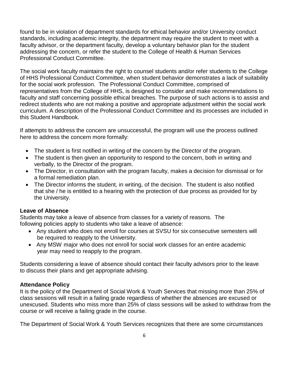found to be in violation of department standards for ethical behavior and/or University conduct standards, including academic integrity, the department may require the student to meet with a faculty advisor, or the department faculty, develop a voluntary behavior plan for the student addressing the concern, or refer the student to the College of Health & Human Services Professional Conduct Committee.

The social work faculty maintains the right to counsel students and/or refer students to the College of HHS Professional Conduct Committee, when student behavior demonstrates a lack of suitability for the social work profession. The Professional Conduct Committee, comprised of representatives from the College of HHS, is designed to consider and make recommendations to faculty and staff concerning possible ethical breaches. The purpose of such actions is to assist and redirect students who are not making a positive and appropriate adjustment within the social work curriculum. A description of the Professional Conduct Committee and its processes are included in this Student Handbook.

If attempts to address the concern are unsuccessful, the program will use the process outlined here to address the concern more formally:

- The student is first notified in writing of the concern by the Director of the program.
- The student is then given an opportunity to respond to the concern, both in writing and verbally, to the Director of the program.
- The Director, in consultation with the program faculty, makes a decision for dismissal or for a formal remediation plan.
- The Director informs the student, in writing, of the decision. The student is also notified that she / he is entitled to a hearing with the protection of due process as provided for by the University.

# **Leave of Absence**

Students may take a leave of absence from classes for a variety of reasons. The following policies apply to students who take a leave of absence:

- Any student who does not enroll for courses at SVSU for six consecutive semesters will be required to reapply to the University.
- Any MSW major who does not enroll for social work classes for an entire academic year may need to reapply to the program.

Students considering a leave of absence should contact their faculty advisors prior to the leave to discuss their plans and get appropriate advising.

# **Attendance Policy**

It is the policy of the Department of Social Work & Youth Services that missing more than 25% of class sessions will result in a failing grade regardless of whether the absences are excused or unexcused. Students who miss more than 25% of class sessions will be asked to withdraw from the course or will receive a failing grade in the course.

The Department of Social Work & Youth Services recognizes that there are some circumstances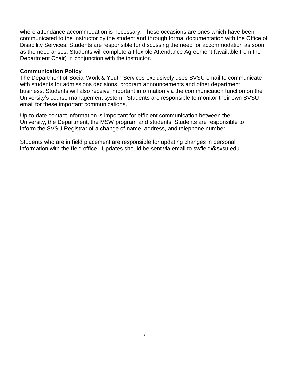where attendance accommodation is necessary. These occasions are ones which have been communicated to the instructor by the student and through formal documentation with the Office of Disability Services. Students are responsible for discussing the need for accommodation as soon as the need arises. Students will complete a Flexible Attendance Agreement (available from the Department Chair) in conjunction with the instructor.

#### **Communication Policy**

The Department of Social Work & Youth Services exclusively uses SVSU email to communicate with students for admissions decisions, program announcements and other department business. Students will also receive important information via the communication function on the University's course management system. Students are responsible to monitor their own SVSU email for these important communications.

Up-to-date contact information is important for efficient communication between the University, the Department, the MSW program and students. Students are responsible to inform the SVSU Registrar of a change of name, address, and telephone number.

Students who are in field placement are responsible for updating changes in personal information with the field office. Updates should be sent via email to [swfield@svsu.edu.](mailto:swfield@svsu.edu)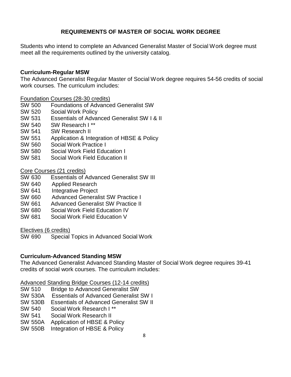# **REQUIREMENTS OF MASTER OF SOCIAL WORK DEGREE**

Students who intend to complete an Advanced Generalist Master of Social Work degree must meet all the requirements outlined by the university catalog.

#### **Curriculum-Regular MSW**

The Advanced Generalist Regular Master of Social Work degree requires 54-56 credits of social work courses. The curriculum includes:

Foundation Courses (28-30 credits)

- SW 500 Foundations of Advanced Generalist SW
- SW 520 Social Work Policy
- SW 531 Essentials of Advanced Generalist SW I & II
- SW 540 SW Research I \*\*
- SW 541 SW Research II
- SW 551 Application & Integration of HBSE & Policy
- SW 560 Social Work Practice I
- SW 580 Social Work Field Education I
- SW 581 Social Work Field Education II

Core Courses (21 credits)

- SW 630 Essentials of Advanced Generalist SW III
- SW 640 Applied Research
- SW 641 Integrative Project
- SW 660 Advanced Generalist SW Practice I
- SW 661 Advanced Generalist SW Practice II
- SW 680 Social Work Field Education IV
- SW 681 Social Work Field Education V

Electives (6 credits)

SW 690 Special Topics in Advanced Social Work

# **Curriculum-Advanced Standing MSW**

The Advanced Generalist Advanced Standing Master of Social Work degree requires 39-41 credits of social work courses. The curriculum includes:

Advanced Standing Bridge Courses (12-14 credits)<br>SW 510 Bridge to Advanced Generalist SW

- **Bridge to Advanced Generalist SW**
- SW 530A Essentials of Advanced Generalist SW I
- SW 530B Essentials of Advanced Generalist SW II
- SW 540 Social Work Research I \*\*
- SW 541 Social Work Research II
- SW 550A Application of HBSE & Policy
- SW 550B Integration of HBSE & Policy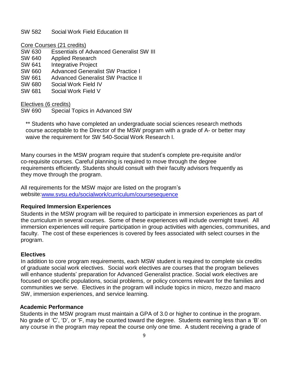#### SW 582 Social Work Field Education III

Core Courses (21 credits)

- SW 630 Essentials of Advanced Generalist SW III
- SW 640 Applied Research
- SW 641 Integrative Project
- SW 660 Advanced Generalist SW Practice I
- SW 661 Advanced Generalist SW Practice II
- SW 680 Social Work Field IV
- SW 681 Social Work Field V

Electives (6 credits)

SW 690 Special Topics in Advanced SW

\*\* Students who have completed an undergraduate social sciences research methods course acceptable to the Director of the MSW program with a grade of A- or better may waive the requirement for SW 540-Social Work Research I.

Many courses in the MSW program require that student's complete pre-requisite and/or co-requisite courses. Careful planning is required to move through the degree requirements efficiently. Students should consult with their faculty advisors frequently as they move through the program.

All requirements for the MSW major are listed on the program's website[:www.svsu.edu/socialwork/curriculum/coursesequence](http://www.svsu.edu/socialwork/curriculum/coursesequence)

# **Required Immersion Experiences**

Students in the MSW program will be required to participate in immersion experiences as part of the curriculum in several courses. Some of these experiences will include overnight travel. All immersion experiences will require participation in group activities with agencies, communities, and faculty. The cost of these experiences is covered by fees associated with select courses in the program.

#### **Electives**

In addition to core program requirements, each MSW student is required to complete six credits of graduate social work electives. Social work electives are courses that the program believes will enhance students' preparation for Advanced Generalist practice. Social work electives are focused on specific populations, social problems, or policy concerns relevant for the families and communities we serve. Electives in the program will include topics in micro, mezzo and macro SW, immersion experiences, and service learning.

#### **Academic Performance**

Students in the MSW program must maintain a GPA of 3.0 or higher to continue in the program. No grade of 'C', 'D', or 'F, may be counted toward the degree. Students earning less than a 'B' on any course in the program may repeat the course only one time. A student receiving a grade of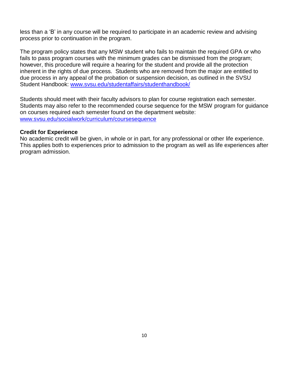less than a 'B' in any course will be required to participate in an academic review and advising process prior to continuation in the program.

The program policy states that any MSW student who fails to maintain the required GPA or who fails to pass program courses with the minimum grades can be dismissed from the program; however, this procedure will require a hearing for the student and provide all the protection inherent in the rights of due process. Students who are removed from the major are entitled to due process in any appeal of the probation or suspension decision, as outlined in the SVSU Student Handbook: [www.svsu.edu/studentaffairs/studenthandbook/](http://www.svsu.edu/studentaffairs/studenthandbook/)

Students should meet with their faculty advisors to plan for course registration each semester. Students may also refer to the recommended course sequence for the MSW program for guidance on courses required each semester found on the department website: [www.svsu.edu/socialwork/curriculum/coursesequence](http://www.svsu.edu/socialwork/curriculum/coursesequence)

#### **Credit for Experience**

No academic credit will be given, in whole or in part, for any professional or other life experience. This applies both to experiences prior to admission to the program as well as life experiences after program admission.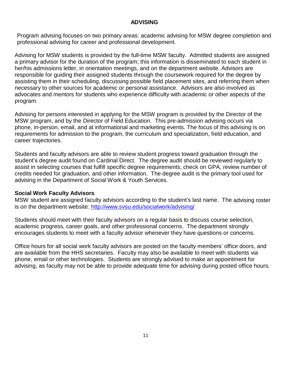# **ADVISING**

Program advising focuses on two primary areas: academic advising for MSW degree completion and professional advising for career and professional development.

Advising for MSW students is provided by the full-time MSW faculty. Admitted students are assigned a primary advisor for the duration of the program; this information is disseminated to each student in her/his admissions letter, in orientation meetings, and on the department website. Advisors are responsible for guiding their assigned students through the coursework required for the degree by assisting them in their scheduling, discussing possible field placement sites, and referring them when necessary to other sources for academic or personal assistance. Advisors are also involved as advocates and mentors for students who experience difficulty with academic or other aspects of the program.

Advising for persons interested in applying for the MSW program is provided by the Director of the MSW program, and by the Director of Field Education. This pre-admission advising occurs via phone, in-person, email, and at informational and marketing events. The focus of this advising is on requirements for admission to the program, the curriculum and specialization, field education, and career trajectories.

Students and faculty advisors are able to review student progress toward graduation through the student's degree audit found on Cardinal Direct. The degree audit should be reviewed regularly to assist in selecting courses that fulfill specific degree requirements, check on GPA, review number of credits needed for graduation, and other information. The degree audit is the primary tool used for advising in the Department of Social Work & Youth Services.

#### **Social Work Faculty Advisors**

MSW student are assigned faculty advisors according to the student's last name. The advising roster is on the department website:<http://www.svsu.edu/socialwork/advising/>

Students should meet with their faculty advisors on a regular basis to discuss course selection, academic progress, career goals, and other professional concerns. The department strongly encourages students to meet with a faculty advisor whenever they have questions or concerns.

Office hours for all social work faculty advisors are posted on the faculty members' office doors, and are available from the HHS secretaries. Faculty may also be available to meet with students via phone, email or other technologies. Students are strongly advised to make an appointment for advising, as faculty may not be able to provide adequate time for advising during posted office hours.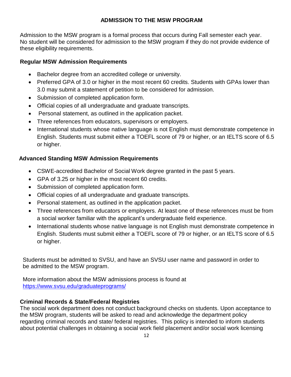# **ADMISSION TO THE MSW PROGRAM**

Admission to the MSW program is a formal process that occurs during Fall semester each year. No student will be considered for admission to the MSW program if they do not provide evidence of these eligibility requirements.

# **Regular MSW Admission Requirements**

- Bachelor degree from an accredited college or university.
- Preferred GPA of 3.0 or higher in the most recent 60 credits. Students with GPAs lower than 3.0 may submit a statement of petition to be considered for admission.
- Submission of completed application form.
- Official copies of all undergraduate and graduate transcripts.
- Personal statement, as outlined in the application packet.
- Three references from educators, supervisors or employers.
- International students whose native language is not English must demonstrate competence in English. Students must submit either a TOEFL score of 79 or higher, or an IELTS score of 6.5 or higher.

# **Advanced Standing MSW Admission Requirements**

- CSWE-accredited Bachelor of Social Work degree granted in the past 5 years.
- GPA of 3.25 or higher in the most recent 60 credits.
- Submission of completed application form.
- Official copies of all undergraduate and graduate transcripts.
- Personal statement, as outlined in the application packet.
- Three references from educators or employers. At least one of these references must be from a social worker familiar with the applicant's undergraduate field experience.
- International students whose native language is not English must demonstrate competence in English. Students must submit either a TOEFL score of 79 or higher, or an IELTS score of 6.5 or higher.

Students must be admitted to SVSU, and have an SVSU user name and password in order to be admitted to the MSW program.

More information about the MSW admissions process is found at <https://www.svsu.edu/graduateprograms/>

# **Criminal Records & State/Federal Registries**

The social work department does not conduct background checks on students. Upon acceptance to the MSW program, students will be asked to read and acknowledge the department policy regarding criminal records and state/ federal registries. This policy is intended to inform students about potential challenges in obtaining a social work field placement and/or social work licensing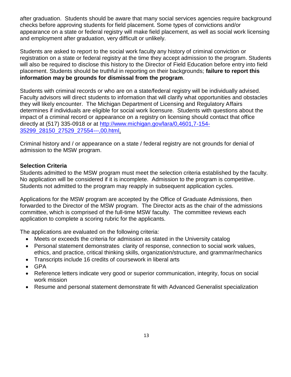after graduation. Students should be aware that many social services agencies require background checks before approving students for field placement. Some types of convictions and/or appearance on a state or federal registry will make field placement, as well as social work licensing and employment after graduation, very difficult or unlikely.

Students are asked to report to the social work faculty any history of criminal conviction or registration on a state or federal registry at the time they accept admission to the program. Students will also be required to disclose this history to the Director of Field Education before entry into field placement. Students should be truthful in reporting on their backgrounds; **failure to report this information may be grounds for dismissal from the program**.

Students with criminal records or who are on a state/federal registry will be individually advised. Faculty advisors will direct students to information that will clarify what opportunities and obstacles they will likely encounter. The Michigan Department of Licensing and Regulatory Affairs determines if individuals are eligible for social work licensure. Students with questions about the impact of a criminal record or appearance on a registry on licensing should contact that office directly at (517) 335-0918 or at [http://www.michigan.gov/lara/0,4601,7-154-](http://www.michigan.gov/lara/0%2C4601%2C7-154-35299_28150_27529_27554---%2C00.html) [35299\\_28150\\_27529\\_27554---,00.html.](http://www.michigan.gov/lara/0%2C4601%2C7-154-35299_28150_27529_27554---%2C00.html)

Criminal history and / or appearance on a state / federal registry are not grounds for denial of admission to the MSW program.

# **Selection Criteria**

Students admitted to the MSW program must meet the selection criteria established by the faculty. No application will be considered if it is incomplete. Admission to the program is competitive. Students not admitted to the program may reapply in subsequent application cycles.

Applications for the MSW program are accepted by the Office of Graduate Admissions, then forwarded to the Director of the MSW program. The Director acts as the chair of the admissions committee, which is comprised of the full-time MSW faculty. The committee reviews each application to complete a scoring rubric for the applicants.

The applications are evaluated on the following criteria:

- Meets or exceeds the criteria for admission as stated in the University catalog
- Personal statement demonstrates clarity of response, connection to social work values, ethics, and practice, critical thinking skills, organization/structure, and grammar/mechanics
- Transcripts include 16 credits of coursework in liberal arts
- GPA
- Reference letters indicate very good or superior communication, integrity, focus on social work mission
- Resume and personal statement demonstrate fit with Advanced Generalist specialization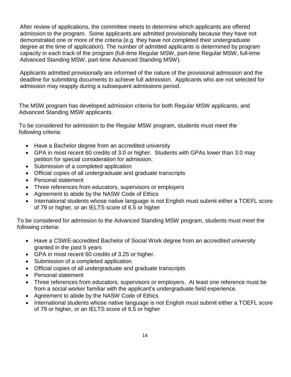After review of applications, the committee meets to determine which applicants are offered admission to the program. Some applicants are admitted provisionally because they have not demonstrated one or more of the criteria (e.g. they have not completed their undergraduate degree at the time of application). The number of admitted applicants is determined by program capacity in each track of the program (full-time Regular MSW, part-time Regular MSW, full-time Advanced Standing MSW, part-time Advanced Standing MSW).

Applicants admitted provisionally are informed of the nature of the provisional admission and the deadline for submitting documents to achieve full admission. Applicants who are not selected for admission may reapply during a subsequent admissions period.

The MSW program has developed admission criteria for both Regular MSW applicants, and Advanced Standing MSW applicants.

To be considered for admission to the Regular MSW program, students must meet the following criteria:

- Have a Bachelor degree from an accredited university
- GPA in most recent 60 credits of 3.0 or higher. Students with GPAs lower than 3.0 may petition for special consideration for admission.
- Submission of a completed application
- Official copies of all undergraduate and graduate transcripts
- Personal statement
- Three references from educators, supervisors or employers
- Agreement to abide by the NASW Code of Ethics
- International students whose native language is not English must submit either a TOEFL score of 79 or higher, or an IELTS score of 6.5 or higher

To be considered for admission to the Advanced Standing MSW program, students must meet the following criteria:

- Have a CSWE-accredited Bachelor of Social Work degree from an accredited university granted in the past 5 years
- GPA in most recent 60 credits of 3.25 or higher.
- Submission of a completed application
- Official copies of all undergraduate and graduate transcripts
- Personal statement
- Three references from educators, supervisors or employers. At least one reference must be from a social worker familiar with the applicant's undergraduate field experience.
- Agreement to abide by the NASW Code of Ethics
- International students whose native language is not English must submit either a TOEFL score of 79 or higher, or an IELTS score of 6.5 or higher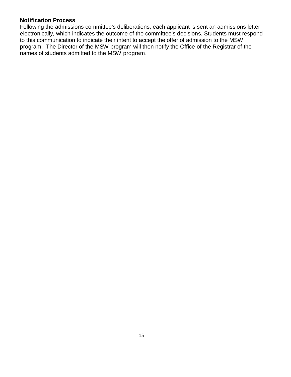# **Notification Process**

Following the admissions committee's deliberations, each applicant is sent an admissions letter electronically, which indicates the outcome of the committee's decisions. Students must respond to this communication to indicate their intent to accept the offer of admission to the MSW program. The Director of the MSW program will then notify the Office of the Registrar of the names of students admitted to the MSW program.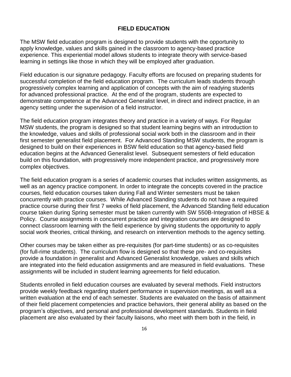#### **FIELD EDUCATION**

The MSW field education program is designed to provide students with the opportunity to apply knowledge, values and skills gained in the classroom to agency-based practice experience. This experiential model allows students to integrate theory with service-based learning in settings like those in which they will be employed after graduation.

Field education is our signature pedagogy. Faculty efforts are focused on preparing students for successful completion of the field education program. The curriculum leads students through progressively complex learning and application of concepts with the aim of readying students for advanced professional practice. At the end of the program, students are expected to demonstrate competence at the Advanced Generalist level, in direct and indirect practice, in an agency setting under the supervision of a field instructor.

The field education program integrates theory and practice in a variety of ways. For Regular MSW students, the program is designed so that student learning begins with an introduction to the knowledge, values and skills of professional social work both in the classroom and in their first semester generalist field placement. For Advanced Standing MSW students, the program is designed to build on their experiences in BSW field education so that agency-based field education begins at the Advanced Generalist level. Subsequent semesters of field education build on this foundation, with progressively more independent practice, and progressively more complex objectives.

The field education program is a series of academic courses that includes written assignments, as well as an agency practice component. In order to integrate the concepts covered in the practice courses, field education courses taken during Fall and Winter semesters must be taken concurrently with practice courses. While Advanced Standing students do not have a required practice course during their first 7 weeks of field placement, the Advanced Standing field education course taken during Spring semester must be taken currently with SW 550B-Integration of HBSE & Policy. Course assignments in concurrent practice and integration courses are designed to connect classroom learning with the field experience by giving students the opportunity to apply social work theories, critical thinking, and research on intervention methods to the agency setting.

Other courses may be taken either as pre-requisites (for part-time students) or as co-requisites (for full-rime students). The curriculum flow is designed so that these pre- and co-requisites provide a foundation in generalist and Advanced Generalist knowledge, values and skills which are integrated into the field education assignments and are measured in field evaluations. These assignments will be included in student learning agreements for field education.

Students enrolled in field education courses are evaluated by several methods. Field instructors provide weekly feedback regarding student performance in supervision meetings, as well as a written evaluation at the end of each semester. Students are evaluated on the basis of attainment of their field placement competencies and practice behaviors, their general ability as based on the program's objectives, and personal and professional development standards. Students in field placement are also evaluated by their faculty liaisons, who meet with them both in the field, in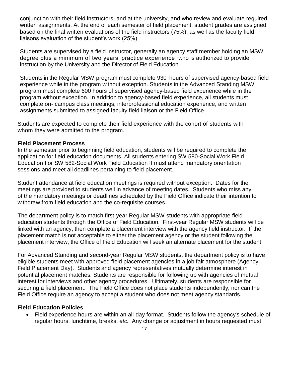conjunction with their field instructors, and at the university, and who review and evaluate required written assignments. At the end of each semester of field placement, student grades are assigned based on the final written evaluations of the field instructors (75%), as well as the faculty field liaisons evaluation of the student's work (25%).

Students are supervised by a field instructor, generally an agency staff member holding an MSW degree plus a minimum of two years' practice experience, who is authorized to provide instruction by the University and the Director of Field Education.

Students in the Regular MSW program must complete 930 hours of supervised agency-based field experience while in the program without exception. Students in the Advanced Standing MSW program must complete 600 hours of supervised agency-based field experience while in the program without exception. In addition to agency-based field experience, all students must complete on- campus class meetings, interprofessional education experience, and written assignments submitted to assigned faculty field liaison or the Field Office.

Students are expected to complete their field experience with the cohort of students with whom they were admitted to the program.

#### **Field Placement Process**

In the semester prior to beginning field education, students will be required to complete the application for field education documents. All students entering SW 580-Social Work Field Education I or SW 582-Social Work Field Education II must attend mandatory orientation sessions and meet all deadlines pertaining to field placement.

Student attendance at field education meetings is required without exception. Dates for the meetings are provided to students well in advance of meeting dates. Students who miss any of the mandatory meetings or deadlines scheduled by the Field Office indicate their intention to withdraw from field education and the co-requisite courses.

The department policy is to match first-year Regular MSW students with appropriate field education students through the Office of Field Education. First-year Regular MSW students will be linked with an agency, then complete a placement interview with the agency field instructor. If the placement match is not acceptable to either the placement agency or the student following the placement interview, the Office of Field Education will seek an alternate placement for the student.

For Advanced Standing and second-year Regular MSW students, the department policy is to have eligible students meet with approved field placement agencies in a job fair atmosphere (Agency Field Placement Day). Students and agency representatives mutually determine interest in potential placement matches. Students are responsible for following up with agencies of mutual interest for interviews and other agency procedures. Ultimately, students are responsible for securing a field placement. The Field Office does not place students independently, nor can the Field Office require an agency to accept a student who does not meet agency standards.

#### **Field Education Policies**

 Field experience hours are within an all-day format. Students follow the agency's schedule of regular hours, lunchtime, breaks, *etc.* Any change or adjustment in hours requested must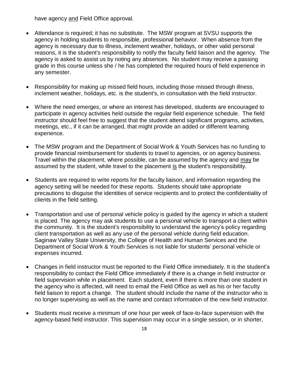have agency and Field Office approval.

- Attendance is required; it has no substitute. The MSW program at SVSU supports the agency in holding students to responsible, professional behavior. When absence from the agency is necessary due to illness, inclement weather, holidays, or other valid personal reasons, it is the student's responsibility to notify the faculty field liaison and the agency. The agency is asked to assist us by noting any absences. No student may receive a passing grade in this course unless she / he has completed the required hours of field experience in any semester.
- Responsibility for making up missed field hours, including those missed through illness, inclement weather, holidays, etc. is the student's, in consultation with the field instructor.
- Where the need emerges, or where an interest has developed, students are encouraged to participate in agency activities held outside the regular field experience schedule. The field instructor should feel free to suggest that the student attend significant programs, activities, meetings, etc*.*, if it can be arranged, that might provide an added or different learning experience.
- The MSW program and the Department of Social Work & Youth Services has no funding to provide financial reimbursement for students to travel to agencies, or on agency business. Travel within the placement, where possible, can be assumed by the agency and may be assumed by the student, while travel to the placement is the student's responsibility.
- Students are required to write reports for the faculty liaison, and information regarding the agency setting will be needed for these reports. Students should take appropriate precautions to disguise the identities of service recipients and to protect the confidentiality of clients in the field setting.
- Transportation and use of personal vehicle policy is guided by the agency in which a student is placed. The agency may ask students to use a personal vehicle to transport a client within the community. It is the student's responsibility to understand the agency's policy regarding client transportation as well as any use of the personal vehicle during field education. Saginaw Valley State University, the College of Health and Human Services and the Department of Social Work & Youth Services is not liable for students' personal vehicle or expenses incurred.
- Changes in field instructor must be reported to the Field Office immediately. It is the student's responsibility to contact the Field Office immediately if there is a change in field instructor or field supervision while in placement. Each student, even if there is more than one student in the agency who is affected, will need to email the Field Office as well as his or her faculty field liaison to report a change. The student should include the name of the instructor who is no longer supervising as well as the name and contact information of the new field instructor.
- Students must receive a minimum of one hour per week of face-to-face supervision with the agency-based field instructor. This supervision may occur in a single session, or in shorter,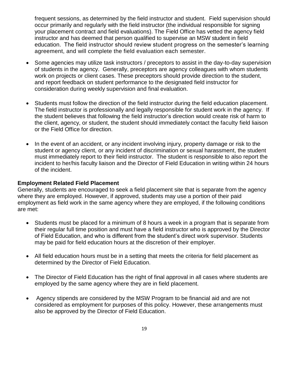frequent sessions, as determined by the field instructor and student. Field supervision should occur primarily and regularly with the field instructor (the individual responsible for signing your placement contract and field evaluations). The Field Office has vetted the agency field instructor and has deemed that person qualified to supervise an MSW student in field education. The field instructor should review student progress on the semester's learning agreement, and will complete the field evaluation each semester.

- Some agencies may utilize task instructors / preceptors to assist in the day-to-day supervision of students in the agency. Generally, preceptors are agency colleagues with whom students work on projects or client cases. These preceptors should provide direction to the student, and report feedback on student performance to the designated field instructor for consideration during weekly supervision and final evaluation.
- Students must follow the direction of the field instructor during the field education placement. The field instructor is professionally and legally responsible for student work in the agency. If the student believes that following the field instructor's direction would create risk of harm to the client, agency, or student, the student should immediately contact the faculty field liaison or the Field Office for direction.
- In the event of an accident, or any incident involving injury, property damage or risk to the student or agency client, or any incident of discrimination or sexual harassment, the student must immediately report to their field instructor. The student is responsible to also report the incident to her/his faculty liaison and the Director of Field Education in writing within 24 hours of the incident.

#### **Employment Related Field Placement**

Generally, students are encouraged to seek a field placement site that is separate from the agency where they are employed. However, if approved, students may use a portion of their paid employment as field work in the same agency where they are employed, if the following conditions are met:

- Students must be placed for a minimum of 8 hours a week in a program that is separate from their regular full time position and must have a field instructor who is approved by the Director of Field Education, and who is different from the student's direct work supervisor. Students may be paid for field education hours at the discretion of their employer.
- All field education hours must be in a setting that meets the criteria for field placement as determined by the Director of Field Education.
- The Director of Field Education has the right of final approval in all cases where students are employed by the same agency where they are in field placement.
- Agency stipends are considered by the MSW Program to be financial aid and are not considered as employment for purposes of this policy. However, these arrangements must also be approved by the Director of Field Education.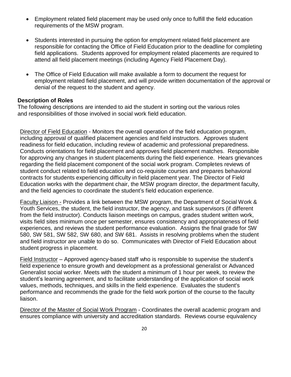- Employment related field placement may be used only once to fulfill the field education requirements of the MSW program.
- Students interested in pursuing the option for employment related field placement are responsible for contacting the Office of Field Education prior to the deadline for completing field applications. Students approved for employment related placements are required to attend all field placement meetings (including Agency Field Placement Day).
- The Office of Field Education will make available a form to document the request for employment related field placement, and will provide written documentation of the approval or denial of the request to the student and agency.

# **Description of Roles**

The following descriptions are intended to aid the student in sorting out the various roles and responsibilities of those involved in social work field education.

Director of Field Education - Monitors the overall operation of the field education program, including approval of qualified placement agencies and field instructors. Approves student readiness for field education, including review of academic and professional preparedness. Conducts orientations for field placement and approves field placement matches. Responsible for approving any changes in student placements during the field experience. Hears grievances regarding the field placement component of the social work program. Completes reviews of student conduct related to field education and co-requisite courses and prepares behavioral contracts for students experiencing difficulty in field placement year. The Director of Field Education works with the department chair, the MSW program director, the department faculty, and the field agencies to coordinate the student's field education experience.

Faculty Liaison - Provides a link between the MSW program, the Department of Social Work & Youth Services, the student, the field instructor, the agency, and task supervisors (if different from the field instructor). Conducts liaison meetings on campus, grades student written work, visits field sites minimum once per semester, ensures consistency and appropriateness of field experiences, and reviews the student performance evaluation. Assigns the final grade for SW 580, SW 581, SW 582, SW 680, and SW 681. Assists in resolving problems when the student and field instructor are unable to do so. Communicates with Director of Field Education about student progress in placement.

Field Instructor – Approved agency-based staff who is responsible to supervise the student's field experience to ensure growth and development as a professional generalist or Advanced Generalist social worker. Meets with the student a minimum of 1 hour per week, to review the student's learning agreement, and to facilitate understanding of the application of social work values, methods, techniques, and skills in the field experience. Evaluates the student's performance and recommends the grade for the field work portion of the course to the faculty liaison.

Director of the Master of Social Work Program - Coordinates the overall academic program and ensures compliance with university and accreditation standards. Reviews course equivalency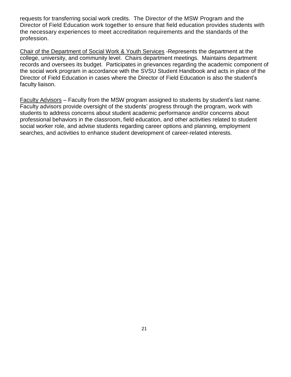requests for transferring social work credits. The Director of the MSW Program and the Director of Field Education work together to ensure that field education provides students with the necessary experiences to meet accreditation requirements and the standards of the profession.

Chair of the Department of Social Work & Youth Services -Represents the department at the college, university, and community level. Chairs department meetings. Maintains department records and oversees its budget. Participates in grievances regarding the academic component of the social work program in accordance with the SVSU Student Handbook and acts in place of the Director of Field Education in cases where the Director of Field Education is also the student's faculty liaison.

Faculty Advisors – Faculty from the MSW program assigned to students by student's last name. Faculty advisors provide oversight of the students' progress through the program, work with students to address concerns about student academic performance and/or concerns about professional behaviors in the classroom, field education, and other activities related to student social worker role, and advise students regarding career options and planning, employment searches, and activities to enhance student development of career-related interests.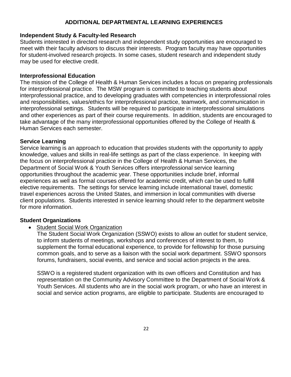# **ADDITIONAL DEPARTMENTAL LEARNING EXPERIENCES**

#### **Independent Study & Faculty-led Research**

Students interested in directed research and independent study opportunities are encouraged to meet with their faculty advisors to discuss their interests. Program faculty may have opportunities for student-involved research projects. In some cases, student research and independent study may be used for elective credit.

#### **Interprofessional Education**

The mission of the College of Health & Human Services includes a focus on preparing professionals for interprofessional practice. The MSW program is committed to teaching students about interprofessional practice, and to developing graduates with competencies in interprofessional roles and responsibilities, values/ethics for interprofessional practice, teamwork, and communication in interprofessional settings. Students will be required to participate in interprofessional simulations and other experiences as part of their course requirements. In addition, students are encouraged to take advantage of the many interprofessional opportunities offered by the College of Health & Human Services each semester.

#### **Service Learning**

Service learning is an approach to education that provides students with the opportunity to apply knowledge, values and skills in real-life settings as part of the class experience. In keeping with the focus on interprofessional practice in the College of Health & Human Services, the Department of Social Work & Youth Services offers interprofessional service learning opportunities throughout the academic year. These opportunities include brief, informal experiences as well as formal courses offered for academic credit, which can be used to fulfill elective requirements. The settings for service learning include international travel, domestic travel experiences across the United States, and immersion in local communities with diverse client populations. Students interested in service learning should refer to the department website for more information.

#### **Student Organizations**

• Student Social Work Organization

The Student Social Work Organization (SSWO) exists to allow an outlet for student service, to inform students of meetings, workshops and conferences of interest to them, to supplement the formal educational experience, to provide for fellowship for those pursuing common goals, and to serve as a liaison with the social work department. SSWO sponsors forums, fundraisers, social events, and service and social action projects in the area.

SSWO is a registered student organization with its own officers and Constitution and has representation on the Community Advisory Committee to the Department of Social Work & Youth Services. All students who are in the social work program, or who have an interest in social and service action programs, are eligible to participate. Students are encouraged to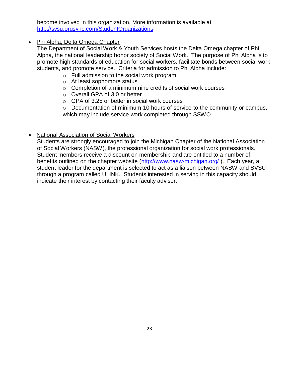become involved in this organization. More information is available at <http://svsu.orgsync.com/StudentOrganizations>

# • Phi Alpha, Delta Omega Chapter

The Department of Social Work & Youth Services hosts the Delta Omega chapter of Phi Alpha, the national leadership honor society of Social Work. The purpose of Phi Alpha is to promote high standards of education for social workers, facilitate bonds between social work students, and promote service. Criteria for admission to Phi Alpha include:

- o Full admission to the social work program
- o At least sophomore status
- o Completion of a minimum nine credits of social work courses
- o Overall GPA of 3.0 or better
- o GPA of 3.25 or better in social work courses

o Documentation of minimum 10 hours of service to the community or campus, which may include service work completed through SSWO

# National Association of Social Workers

Students are strongly encouraged to join the Michigan Chapter of the National Association of Social Workers (NASW), the professional organization for social work professionals. Student members receive a discount on membership and are entitled to a number of benefits outlined on the chapter website [\(http://www.nasw-michigan.org/](http://www.nasw-michigan.org/)). Each year, a student leader for the department is selected to act as a liaison between NASW and SVSU through a program called ULINK. Students interested in serving in this capacity should indicate their interest by contacting their faculty advisor.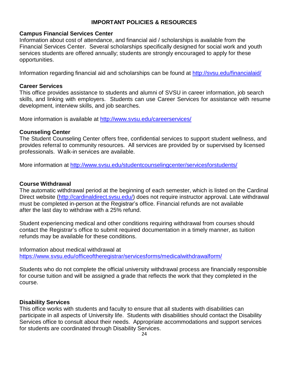# **IMPORTANT POLICIES & RESOURCES**

#### **Campus Financial Services Center**

Information about cost of attendance, and financial aid / scholarships is available from the Financial Services Center. Several scholarships specifically designed for social work and youth services students are offered annually; students are strongly encouraged to apply for these opportunities.

Information regarding financial aid and scholarships can be found at<http://svsu.edu/financialaid/>

# **Career Services**

This office provides assistance to students and alumni of SVSU in career information, job search skills, and linking with employers. Students can use Career Services for assistance with resume development, interview skills, and job searches.

More information is available at<http://www.svsu.edu/careerservices/>

# **Counseling Center**

The Student Counseling Center offers free, confidential services to support student wellness, and provides referral to community resources. All services are provided by or supervised by licensed professionals. Walk-in services are available.

More information at<http://www.svsu.edu/studentcounselingcenter/servicesforstudents/>

# **Course Withdrawal**

The automatic withdrawal period at the beginning of each semester, which is listed on the Cardinal Direct website [\(http://cardinaldirect.svsu.edu/\)](http://cardinaldirect.svsu.edu/) does not require instructor approval. Late withdrawal must be completed in-person at the Registrar's office. Financial refunds are not available after the last day to withdraw with a 25% refund.

Student experiencing medical and other conditions requiring withdrawal from courses should contact the Registrar's office to submit required documentation in a timely manner, as tuition refunds may be available for these conditions.

Information about medical withdrawal at <https://www.svsu.edu/officeoftheregistrar/servicesforms/medicalwithdrawalform/>

Students who do not complete the official university withdrawal process are financially responsible for course tuition and will be assigned a grade that reflects the work that they completed in the course.

# **Disability Services**

This office works with students and faculty to ensure that all students with disabilities can participate in all aspects of University life. Students with disabilities should contact the Disability Services office to consult about their needs. Appropriate accommodations and support services for students are coordinated through Disability Services.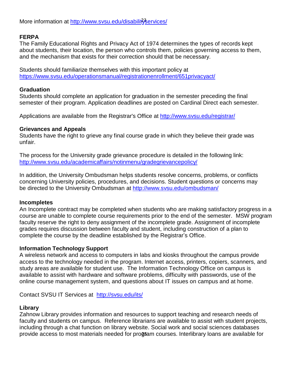More information at [http://www.svsu.edu/disabilit](http://www.svsu.edu/disabilityservices/)<sup>2</sup>services/

# **FERPA**

The Family Educational Rights and Privacy Act of 1974 determines the types of records kept about students, their location, the person who controls them, policies governing access to them, and the mechanism that exists for their correction should that be necessary.

Students should familiarize themselves with this important policy at <https://www.svsu.edu/operationsmanual/registrationenrollment/651privacyact/>

# **Graduation**

Students should complete an application for graduation in the semester preceding the final semester of their program. Application deadlines are posted on Cardinal Direct each semester.

Applications are available from the Registrar's Office at<http://www.svsu.edu/registrar/>

# **Grievances and Appeals**

Students have the right to grieve any final course grade in which they believe their grade was unfair.

The process for the University grade grievance procedure is detailed in the following link: <http://www.svsu.edu/academicaffairs/notinmenu/gradegrievancepolicy/>

In addition, the University Ombudsman helps students resolve concerns, problems, or conflicts concerning University policies, procedures, and decisions. Student questions or concerns may be directed to the University Ombudsman at<http://www.svsu.edu/ombudsman/>

# **Incompletes**

An Incomplete contract may be completed when students who are making satisfactory progress in a course are unable to complete course requirements prior to the end of the semester. MSW program faculty reserve the right to deny assignment of the incomplete grade. Assignment of incomplete grades requires discussion between faculty and student, including construction of a plan to complete the course by the deadline established by the Registrar's Office.

# **Information Technology Support**

A wireless network and access to computers in labs and kiosks throughout the campus provide access to the technology needed in the program. Internet access, printers, copiers, scanners, and study areas are available for student use. The Information Technology Office on campus is available to assist with hardware and software problems, difficulty with passwords, use of the online course management system, and questions about IT issues on campus and at home.

Contact SVSU IT Services at <http://svsu.edu/its/>

# **Library**

provide access to most materials needed for program courses. Interlibrary loans are available for Zahnow Library provides information and resources to support teaching and research needs of faculty and students on campus. Reference librarians are available to assist with student projects, including through a chat function on library website. Social work and social sciences databases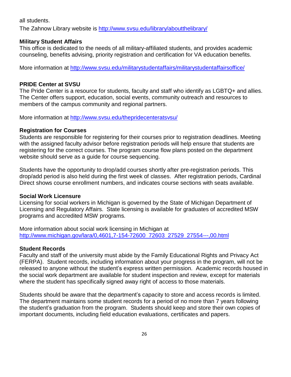all students.

The Zahnow Library website is<http://www.svsu.edu/library/aboutthelibrary/>

# **Military Student Affairs**

This office is dedicated to the needs of all military-affiliated students, and provides academic counseling, benefits advising, priority registration and certification for VA education benefits.

More information at<http://www.svsu.edu/militarystudentaffairs/militarystudentaffairsoffice/>

# **PRIDE Center at SVSU**

The Pride Center is a resource for students, faculty and staff who identify as LGBTQ+ and allies. The Center offers support, education, social events, community outreach and resources to members of the campus community and regional partners.

More information at<http://www.svsu.edu/thepridecenteratsvsu/>

#### **Registration for Courses**

Students are responsible for registering for their courses prior to registration deadlines. Meeting with the assigned faculty advisor before registration periods will help ensure that students are registering for the correct courses. The program course flow plans posted on the department website should serve as a guide for course sequencing.

Students have the opportunity to drop/add courses shortly after pre-registration periods. This drop/add period is also held during the first week of classes. After registration periods, Cardinal Direct shows course enrollment numbers, and indicates course sections with seats available.

# **Social Work Licensure**

Licensing for social workers in Michigan is governed by the State of Michigan Department of Licensing and Regulatory Affairs. State licensing is available for graduates of accredited MSW programs and accredited MSW programs.

More information about social work licensing in Michigan at [http://www.michigan.gov/lara/0,4601,7-154-72600\\_72603\\_27529\\_27554---,00.html](http://www.michigan.gov/lara/0%2C4601%2C7-154-72600_72603_27529_27554---%2C00.html)

# **Student Records**

Faculty and staff of the university must abide by the Family Educational Rights and Privacy Act (FERPA). Student records, including information about your progress in the program, will not be released to anyone without the student's express written permission. Academic records housed in the social work department are available for student inspection and review, except for materials where the student has specifically signed away right of access to those materials.

Students should be aware that the department's capacity to store and access records is limited. The department maintains some student records for a period of no more than 7 years following the student's graduation from the program. Students should keep and store their own copies of important documents, including field education evaluations, certificates and papers.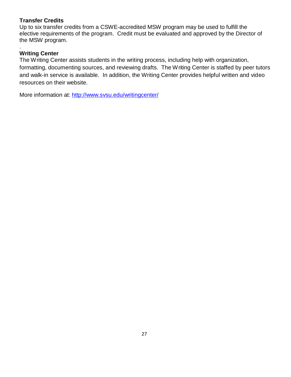# **Transfer Credits**

Up to six transfer credits from a CSWE-accredited MSW program may be used to fulfill the elective requirements of the program. Credit must be evaluated and approved by the Director of the MSW program.

#### . **Writing Center**

The Writing Center assists students in the writing process, including help with organization, formatting, documenting sources, and reviewing drafts. The Writing Center is staffed by peer tutors and walk-in service is available. In addition, the Writing Center provides helpful written and video resources on their website.

More information at: <http://www.svsu.edu/writingcenter/>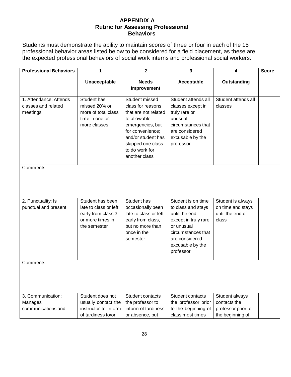# **APPENDIX A Rubric for Assessing Professional Behaviors**

Students must demonstrate the ability to maintain scores of three or four in each of the 15 professional behavior areas listed below to be considered for a field placement, as these are the expected professional behaviors of social work interns and professional social workers.

| <b>Professional Behaviors</b>                             | 1                                                                                                   | $\overline{2}$                                                                                                                                                                                    | $\overline{\mathbf{3}}$                                                                                                                                                  | 4                                                                        | <b>Score</b> |
|-----------------------------------------------------------|-----------------------------------------------------------------------------------------------------|---------------------------------------------------------------------------------------------------------------------------------------------------------------------------------------------------|--------------------------------------------------------------------------------------------------------------------------------------------------------------------------|--------------------------------------------------------------------------|--------------|
|                                                           | Unacceptable                                                                                        | <b>Needs</b><br>Improvement                                                                                                                                                                       | Acceptable                                                                                                                                                               | Outstanding                                                              |              |
| 1. Attendance: Attends<br>classes and related<br>meetings | Student has<br>missed 20% or<br>more of total class<br>time in one or<br>more classes               | Student missed<br>class for reasons<br>that are not related<br>to allowable<br>emergencies, but<br>for convenience;<br>and/or student has<br>skipped one class<br>to do work for<br>another class | Student attends all<br>classes except in<br>truly rare or<br>unusual<br>circumstances that<br>are considered<br>excusable by the<br>professor                            | Student attends all<br>classes                                           |              |
| Comments:                                                 |                                                                                                     |                                                                                                                                                                                                   |                                                                                                                                                                          |                                                                          |              |
| 2. Punctuality: Is<br>punctual and present                | Student has been<br>late to class or left<br>early from class 3<br>or more times in<br>the semester | Student has<br>occasionally been<br>late to class or left<br>early from class,<br>but no more than<br>once in the<br>semester                                                                     | Student is on time<br>to class and stays<br>until the end<br>except in truly rare<br>or unusual<br>circumstances that<br>are considered<br>excusable by the<br>professor | Student is always<br>on time and stays<br>until the end of<br>class      |              |
| Comments:                                                 |                                                                                                     |                                                                                                                                                                                                   |                                                                                                                                                                          |                                                                          |              |
| 3. Communication:<br>Manages<br>communications and        | Student does not<br>usually contact the<br>instructor to inform<br>of tardiness to/or               | Student contacts<br>the professor to<br>inform of tardiness<br>or absence, but                                                                                                                    | Student contacts<br>the professor prior<br>to the beginning of<br>class most times                                                                                       | Student always<br>contacts the<br>professor prior to<br>the beginning of |              |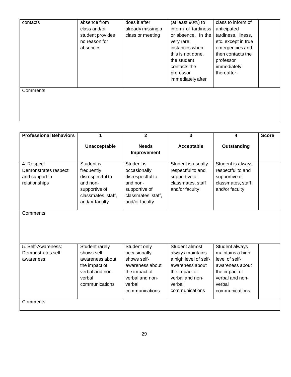| contacts  | absence from<br>class and/or<br>student provides<br>no reason for<br>absences | does it after<br>already missing a<br>class or meeting | (at least 90%) to<br>inform of tardiness<br>or absence. In the<br>very rare<br>instances when<br>this is not done,<br>the student<br>contacts the<br>professor<br>immediately after | class to inform of<br>anticipated<br>tardiness, illness,<br>etc. except in true<br>emergencies and<br>then contacts the<br>professor<br>immediately<br>thereafter. |
|-----------|-------------------------------------------------------------------------------|--------------------------------------------------------|-------------------------------------------------------------------------------------------------------------------------------------------------------------------------------------|--------------------------------------------------------------------------------------------------------------------------------------------------------------------|
| Comments: |                                                                               |                                                        |                                                                                                                                                                                     |                                                                                                                                                                    |

| <b>Professional Behaviors</b>                                          | 1                                                                                                                 | $\mathbf{2}$                                                                                                                   | $\overline{\mathbf{3}}$                                                                                                                        | 4                                                                                                                                       | <b>Score</b> |
|------------------------------------------------------------------------|-------------------------------------------------------------------------------------------------------------------|--------------------------------------------------------------------------------------------------------------------------------|------------------------------------------------------------------------------------------------------------------------------------------------|-----------------------------------------------------------------------------------------------------------------------------------------|--------------|
|                                                                        | Unacceptable                                                                                                      | <b>Needs</b><br>Improvement                                                                                                    | Acceptable                                                                                                                                     | Outstanding                                                                                                                             |              |
| 4. Respect:<br>Demonstrates respect<br>and support in<br>relationships | Student is<br>frequently<br>disrespectful to<br>and non-<br>supportive of<br>classmates, staff,<br>and/or faculty | Student is<br>occasionally<br>disrespectful to<br>and non-<br>supportive of<br>classmates, staff,<br>and/or faculty            | Student is usually<br>respectful to and<br>supportive of<br>classmates, staff<br>and/or faculty                                                | Student is always<br>respectful to and<br>supportive of<br>classmates, staff,<br>and/or faculty                                         |              |
| Comments:                                                              |                                                                                                                   |                                                                                                                                |                                                                                                                                                |                                                                                                                                         |              |
| 5. Self-Awareness:<br>Demonstrates self-<br>awareness                  | Student rarely<br>shows self-<br>awareness about<br>the impact of<br>verbal and non-<br>verbal<br>communications  | Student only<br>occasionally<br>shows self-<br>awareness about<br>the impact of<br>verbal and non-<br>verbal<br>communications | Student almost<br>always maintains<br>a high level of self-<br>awareness about<br>the impact of<br>verbal and non-<br>verbal<br>communications | Student always<br>maintains a high<br>level of self-<br>awareness about<br>the impact of<br>verbal and non-<br>verbal<br>communications |              |
| Comments:                                                              |                                                                                                                   |                                                                                                                                |                                                                                                                                                |                                                                                                                                         |              |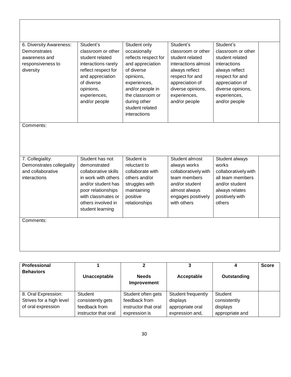| 6. Diversity Awareness:<br>Demonstrates<br>awareness and<br>responsiveness to<br>diversity | Student's<br>classroom or other<br>student related<br>interactions rarely<br>reflect respect for<br>and appreciation<br>of diverse<br>opinions,<br>experiences,<br>and/or people           | Student only<br>occasionally<br>reflects respect for<br>and appreciation<br>of diverse<br>opinions,<br>experiences,<br>and/or people in<br>the classroom or<br>during other<br>student related<br>interactions | Student's<br>classroom or other<br>student related<br>interactions almost<br>always reflect<br>respect for and<br>appreciation of<br>diverse opinions,<br>experiences,<br>and/or people | Student's<br>classroom or other<br>student related<br>interactions<br>always reflect<br>respect for and<br>appreciation of<br>diverse opinions,<br>experiences,<br>and/or people |
|--------------------------------------------------------------------------------------------|--------------------------------------------------------------------------------------------------------------------------------------------------------------------------------------------|----------------------------------------------------------------------------------------------------------------------------------------------------------------------------------------------------------------|-----------------------------------------------------------------------------------------------------------------------------------------------------------------------------------------|----------------------------------------------------------------------------------------------------------------------------------------------------------------------------------|
| Comments:                                                                                  |                                                                                                                                                                                            |                                                                                                                                                                                                                |                                                                                                                                                                                         |                                                                                                                                                                                  |
| 7. Collegiality:<br>Demonstrates collegiality<br>and collaborative<br>interactions         | Student has not<br>demonstrated<br>collaborative skills<br>in work with others<br>and/or student has<br>poor relationships<br>with classmates or<br>others involved in<br>student learning | Student is<br>reluctant to<br>collaborate with<br>others and/or<br>struggles with<br>maintaining<br>positive<br>relationships                                                                                  | Student almost<br>always works<br>collaboratively with<br>team members<br>and/or student<br>almost always<br>engages positively<br>with others                                          | Student always<br>works<br>collaboratively with<br>all team members<br>and/or student<br>always relates<br>positively with<br>others                                             |
| Comments:                                                                                  |                                                                                                                                                                                            |                                                                                                                                                                                                                |                                                                                                                                                                                         |                                                                                                                                                                                  |

| <b>Professional</b><br><b>Behaviors</b>                               | Unacceptable                                                          | 2<br><b>Needs</b><br>Improvement                                             | Acceptable                                                            | Outstanding                                            | <b>Score</b> |
|-----------------------------------------------------------------------|-----------------------------------------------------------------------|------------------------------------------------------------------------------|-----------------------------------------------------------------------|--------------------------------------------------------|--------------|
| 8. Oral Expression:<br>Strives for a high level<br>of oral expression | Student<br>consistently gets<br>feedback from<br>instructor that oral | Student often gets<br>feedback from<br>instructor that oral<br>expression is | Student frequently<br>displays<br>appropriate oral<br>expression and, | Student<br>consistently<br>displays<br>appropriate and |              |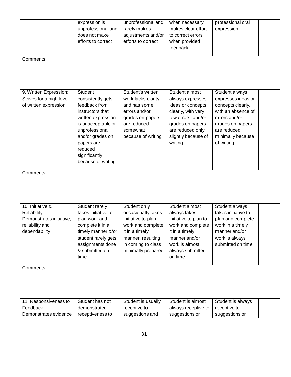| Comments:                                                                                        | expression is<br>unprofessional and<br>does not make<br>efforts to correct                                                                                                                                          | unprofessional and<br>rarely makes<br>adjustments and/or<br>efforts to correct                                                                                   | when necessary,<br>makes clear effort<br>to correct errors<br>when provided<br>feedback                                                                                       | professional oral<br>expression                                                                                                                                        |  |
|--------------------------------------------------------------------------------------------------|---------------------------------------------------------------------------------------------------------------------------------------------------------------------------------------------------------------------|------------------------------------------------------------------------------------------------------------------------------------------------------------------|-------------------------------------------------------------------------------------------------------------------------------------------------------------------------------|------------------------------------------------------------------------------------------------------------------------------------------------------------------------|--|
| 9. Written Expression:<br>Strives for a high level<br>of written expression                      | Student<br>consistently gets<br>feedback from<br>instructors that<br>written expression<br>is unacceptable or<br>unprofessional<br>and/or grades on<br>papers are<br>reduced<br>significantly<br>because of writing | Student's written<br>work lacks clarity<br>and has some<br>errors and/or<br>grades on papers<br>are reduced<br>somewhat<br>because of writing                    | Student almost<br>always expresses<br>ideas or concepts<br>clearly, with very<br>few errors; and/or<br>grades on papers<br>are reduced only<br>slightly because of<br>writing | Student always<br>expresses ideas or<br>concepts clearly,<br>with an absence of<br>errors and/or<br>grades on papers<br>are reduced<br>minimally because<br>of writing |  |
| Comments:                                                                                        |                                                                                                                                                                                                                     |                                                                                                                                                                  |                                                                                                                                                                               |                                                                                                                                                                        |  |
| 10. Initiative &<br>Reliability:<br>Demonstrates initiative,<br>reliability and<br>dependability | Student rarely<br>takes initiative to<br>plan work and<br>complete it in a<br>timely manner &/or<br>student rarely gets<br>assignments done<br>& submitted on<br>time                                               | Student only<br>occasionally takes<br>initiative to plan<br>work and complete<br>it in a timely<br>manner, resulting<br>in coming to class<br>minimally prepared | Student almost<br>always takes<br>initiative to plan to<br>work and complete<br>it in a timely<br>manner and/or<br>work is almost<br>always submitted<br>on time              | Student always<br>takes initiative to<br>plan and complete<br>work in a timely<br>manner and/or<br>work is always<br>submitted on time                                 |  |
| Comments:                                                                                        |                                                                                                                                                                                                                     |                                                                                                                                                                  |                                                                                                                                                                               |                                                                                                                                                                        |  |
| 11. Responsiveness to<br>Feedback:<br>Demonstrates evidence                                      | Student has not<br>demonstrated<br>receptiveness to                                                                                                                                                                 | Student is usually<br>receptive to<br>suggestions and                                                                                                            | Student is almost<br>always receptive to<br>suggestions or                                                                                                                    | Student is always<br>receptive to<br>suggestions or                                                                                                                    |  |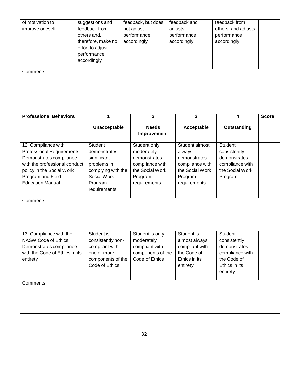| of motivation to<br>improve oneself | suggestions and<br>feedback from<br>others and,<br>therefore, make no<br>effort to adjust<br>performance<br>accordingly | feedback, but does<br>not adjust<br>performance<br>accordingly | feedback and<br>adjusts<br>performance<br>accordingly | feedback from<br>others, and adjusts<br>performance<br>accordingly |  |
|-------------------------------------|-------------------------------------------------------------------------------------------------------------------------|----------------------------------------------------------------|-------------------------------------------------------|--------------------------------------------------------------------|--|
| Comments:                           |                                                                                                                         |                                                                |                                                       |                                                                    |  |

| <b>Professional Behaviors</b>                                                                                                                                                                     | 1                                                                                                                            | $\overline{2}$                                                                                              | 3                                                                                                         | 4                                                                                                             | <b>Score</b> |
|---------------------------------------------------------------------------------------------------------------------------------------------------------------------------------------------------|------------------------------------------------------------------------------------------------------------------------------|-------------------------------------------------------------------------------------------------------------|-----------------------------------------------------------------------------------------------------------|---------------------------------------------------------------------------------------------------------------|--------------|
|                                                                                                                                                                                                   | Unacceptable                                                                                                                 | <b>Needs</b><br>Improvement                                                                                 | Acceptable                                                                                                | Outstanding                                                                                                   |              |
| 12. Compliance with<br><b>Professional Requirements:</b><br>Demonstrates compliance<br>with the professional conduct<br>policy in the Social Work<br>Program and Field<br><b>Education Manual</b> | <b>Student</b><br>demonstrates<br>significant<br>problems in<br>complying with the<br>Social Work<br>Program<br>requirements | Student only<br>moderately<br>demonstrates<br>compliance with<br>the Social Work<br>Program<br>requirements | Student almost<br>always<br>demonstrates<br>compliance with<br>the Social Work<br>Program<br>requirements | <b>Student</b><br>consistently<br>demonstrates<br>compliance with<br>the Social Work<br>Program               |              |
| Comments:                                                                                                                                                                                         |                                                                                                                              |                                                                                                             |                                                                                                           |                                                                                                               |              |
| 13. Compliance with the<br><b>NASW Code of Ethics:</b><br>Demonstrates compliance<br>with the Code of Ethics in its<br>entirety                                                                   | Student is<br>consistently non-<br>compliant with<br>one or more<br>components of the<br>Code of Ethics                      | Student is only<br>moderately<br>compliant with<br>components of the<br>Code of Ethics                      | Student is<br>almost always<br>compliant with<br>the Code of<br>Ethics in its<br>entirety                 | <b>Student</b><br>consistently<br>demonstrates<br>compliance with<br>the Code of<br>Ethics in its<br>entirety |              |
| Comments:                                                                                                                                                                                         |                                                                                                                              |                                                                                                             |                                                                                                           |                                                                                                               |              |